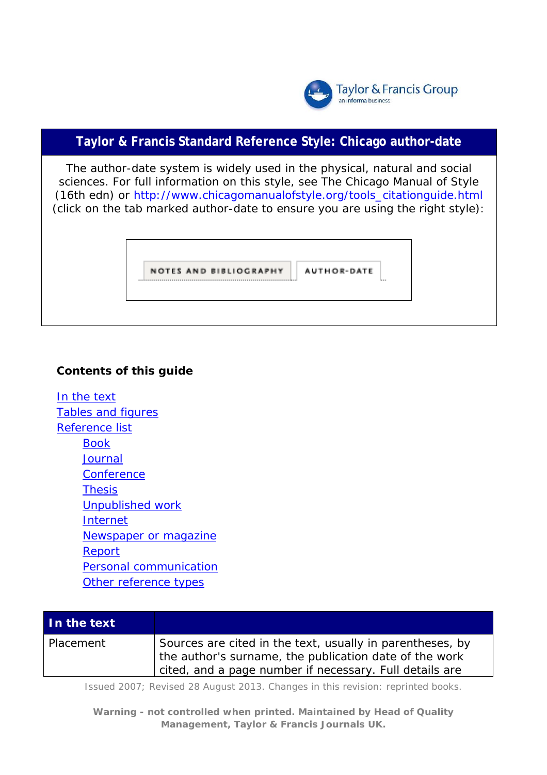

## **Taylor & Francis Standard Reference Style: Chicago author-date**

The author-date system is widely used in the physical, natural and social sciences. For full information on this style, see *The Chicago Manual of Style* (16th edn) or [http://www.chicagomanualofstyle.org/tools\\_citationguide.html](http://www.chicagomanualofstyle.org/tools_citationguide.html) (click on the tab marked author-date to ensure you are using the right style):

|   | <b>NOTES AND BIBLIOGRAPHY</b> | <b>AUTHOR-DATE</b> |                 |
|---|-------------------------------|--------------------|-----------------|
| . |                               |                    | <b>Decision</b> |

## **Contents of this guide**

[In the text](#page-0-0) [Tables and figures](#page-3-0) [Reference list](#page-4-0) [Book](#page-4-1) **[Journal](#page-6-0) [Conference](#page-7-0) [Thesis](#page-8-0)** [Unpublished work](#page-8-1) [Internet](#page-8-2) [Newspaper or magazine](#page-9-0) [Report](#page-9-1) [Personal communicatio](#page-9-2)n [Other reference types](#page-10-0)

<span id="page-0-0"></span>

| In the text |                                                                                                                                                                                |
|-------------|--------------------------------------------------------------------------------------------------------------------------------------------------------------------------------|
| Placement   | Sources are cited in the text, usually in parentheses, by<br>the author's surname, the publication date of the work<br>cited, and a page number if necessary. Full details are |

Issued 2007; Revised 28 August 2013. Changes in this revision: reprinted books.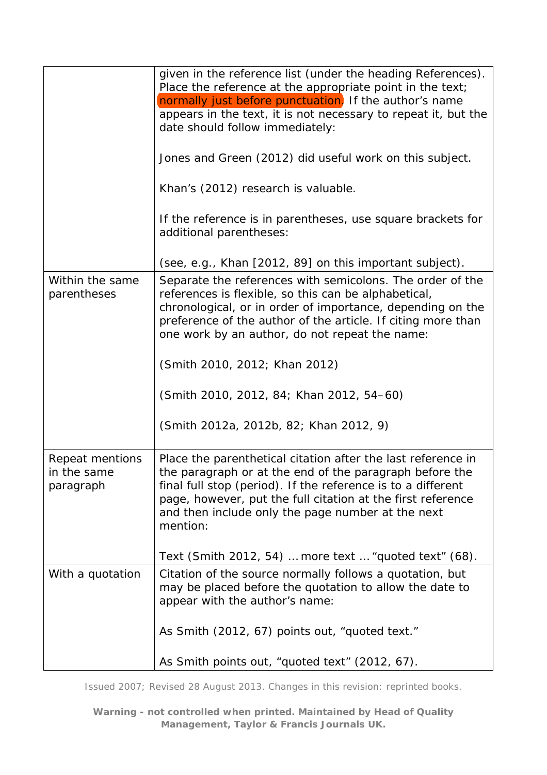|                                             | given in the reference list (under the heading References).<br>Place the reference at the appropriate point in the text;<br>normally just before punctuation. If the author's name<br>appears in the text, it is not necessary to repeat it, but the<br>date should follow immediately:<br>Jones and Green (2012) did useful work on this subject.<br>Khan's (2012) research is valuable.<br>If the reference is in parentheses, use square brackets for<br>additional parentheses:<br>(see, e.g., Khan [2012, 89] on this important subject). |
|---------------------------------------------|------------------------------------------------------------------------------------------------------------------------------------------------------------------------------------------------------------------------------------------------------------------------------------------------------------------------------------------------------------------------------------------------------------------------------------------------------------------------------------------------------------------------------------------------|
| Within the same<br>parentheses              | Separate the references with semicolons. The order of the<br>references is flexible, so this can be alphabetical,<br>chronological, or in order of importance, depending on the                                                                                                                                                                                                                                                                                                                                                                |
|                                             | preference of the author of the article. If citing more than<br>one work by an author, do not repeat the name:                                                                                                                                                                                                                                                                                                                                                                                                                                 |
|                                             | (Smith 2010, 2012; Khan 2012)                                                                                                                                                                                                                                                                                                                                                                                                                                                                                                                  |
|                                             | (Smith 2010, 2012, 84; Khan 2012, 54–60)                                                                                                                                                                                                                                                                                                                                                                                                                                                                                                       |
|                                             | (Smith 2012a, 2012b, 82; Khan 2012, 9)                                                                                                                                                                                                                                                                                                                                                                                                                                                                                                         |
| Repeat mentions<br>in the same<br>paragraph | Place the parenthetical citation after the last reference in<br>the paragraph or at the end of the paragraph before the<br>final full stop (period). If the reference is to a different<br>page, however, put the full citation at the first reference<br>and then include only the page number at the next<br>mention:                                                                                                                                                                                                                        |
|                                             | Text (Smith 2012, 54)  more text  "quoted text" (68).                                                                                                                                                                                                                                                                                                                                                                                                                                                                                          |
| With a quotation                            | Citation of the source normally follows a quotation, but<br>may be placed before the quotation to allow the date to<br>appear with the author's name:                                                                                                                                                                                                                                                                                                                                                                                          |
|                                             | As Smith (2012, 67) points out, "quoted text."                                                                                                                                                                                                                                                                                                                                                                                                                                                                                                 |
|                                             | As Smith points out, "quoted text" (2012, 67).                                                                                                                                                                                                                                                                                                                                                                                                                                                                                                 |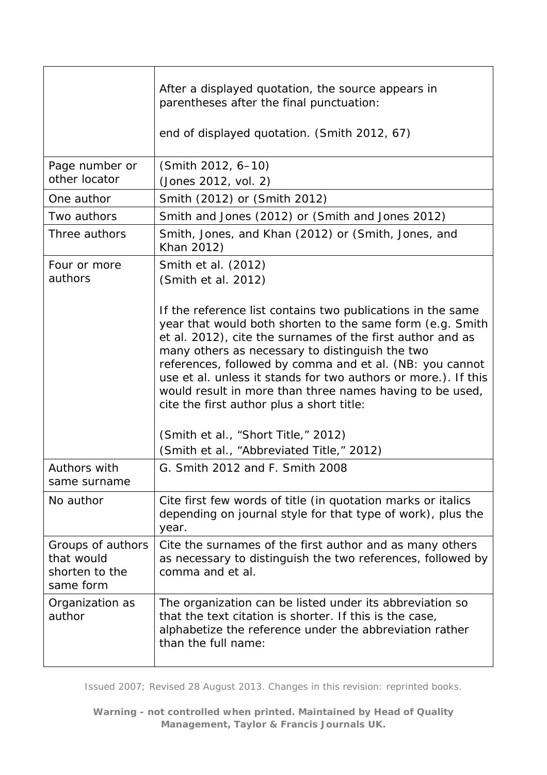|                                                                | After a displayed quotation, the source appears in<br>parentheses after the final punctuation:<br>end of displayed quotation. (Smith 2012, 67)                                                                                                                                                                                                                                                                                                                                   |
|----------------------------------------------------------------|----------------------------------------------------------------------------------------------------------------------------------------------------------------------------------------------------------------------------------------------------------------------------------------------------------------------------------------------------------------------------------------------------------------------------------------------------------------------------------|
| Page number or                                                 | (Smith 2012, 6-10)                                                                                                                                                                                                                                                                                                                                                                                                                                                               |
| other locator                                                  | (Jones 2012, vol. 2)                                                                                                                                                                                                                                                                                                                                                                                                                                                             |
| One author                                                     | Smith (2012) or (Smith 2012)                                                                                                                                                                                                                                                                                                                                                                                                                                                     |
| Two authors                                                    | Smith and Jones (2012) or (Smith and Jones 2012)                                                                                                                                                                                                                                                                                                                                                                                                                                 |
| Three authors                                                  | Smith, Jones, and Khan (2012) or (Smith, Jones, and<br>Khan 2012)                                                                                                                                                                                                                                                                                                                                                                                                                |
| Four or more<br>authors                                        | Smith et al. (2012)<br>(Smith et al. 2012)                                                                                                                                                                                                                                                                                                                                                                                                                                       |
|                                                                | If the reference list contains two publications in the same<br>year that would both shorten to the same form (e.g. Smith<br>et al. 2012), cite the surnames of the first author and as<br>many others as necessary to distinguish the two<br>references, followed by comma and et al. (NB: you cannot<br>use et al. unless it stands for two authors or more.). If this<br>would result in more than three names having to be used,<br>cite the first author plus a short title: |
|                                                                | (Smith et al., "Short Title," 2012)<br>(Smith et al., "Abbreviated Title," 2012)                                                                                                                                                                                                                                                                                                                                                                                                 |
| Authors with<br>same surname                                   | G. Smith 2012 and F. Smith 2008                                                                                                                                                                                                                                                                                                                                                                                                                                                  |
| No author                                                      | Cite first few words of title (in quotation marks or italics<br>depending on journal style for that type of work), plus the<br>year.                                                                                                                                                                                                                                                                                                                                             |
| Groups of authors<br>that would<br>shorten to the<br>same form | Cite the surnames of the first author and as many others<br>as necessary to distinguish the two references, followed by<br>comma and et al.                                                                                                                                                                                                                                                                                                                                      |
| Organization as<br>author                                      | The organization can be listed under its abbreviation so<br>that the text citation is shorter. If this is the case,<br>alphabetize the reference under the abbreviation rather<br>than the full name:                                                                                                                                                                                                                                                                            |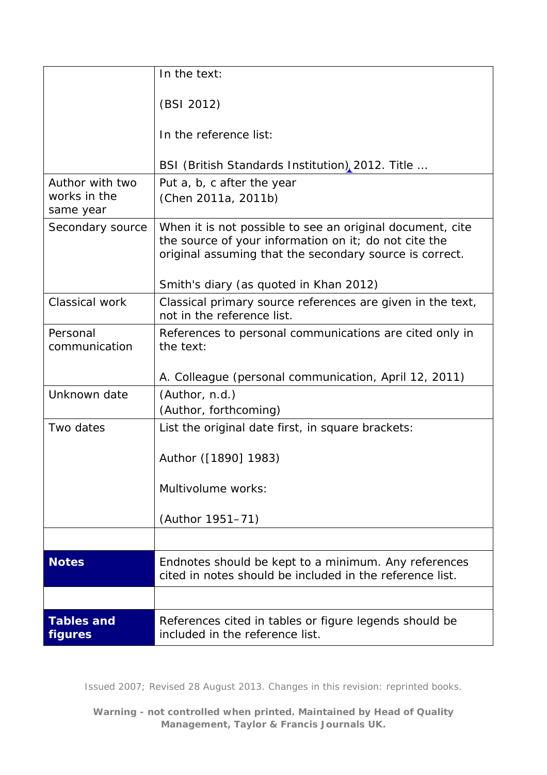<span id="page-3-0"></span>

|                                              | In the text:                                                                                                                                                                                                            |
|----------------------------------------------|-------------------------------------------------------------------------------------------------------------------------------------------------------------------------------------------------------------------------|
|                                              | (BSI 2012)                                                                                                                                                                                                              |
|                                              | In the reference list:                                                                                                                                                                                                  |
|                                              | BSI (British Standards Institution), 2012. Title                                                                                                                                                                        |
| Author with two<br>works in the<br>same year | Put a, b, c after the year<br>(Chen 2011a, 2011b)                                                                                                                                                                       |
| Secondary source                             | When it is not possible to see an original document, cite<br>the source of your information on it; do not cite the<br>original assuming that the secondary source is correct.<br>Smith's diary (as quoted in Khan 2012) |
| Classical work                               | Classical primary source references are given in the text,<br>not in the reference list.                                                                                                                                |
| Personal<br>communication                    | References to personal communications are cited only in<br>the text:                                                                                                                                                    |
|                                              | A. Colleague (personal communication, April 12, 2011)                                                                                                                                                                   |
| Unknown date                                 | (Author, n.d.)<br>(Author, forthcoming)                                                                                                                                                                                 |
| Two dates                                    | List the original date first, in square brackets:                                                                                                                                                                       |
|                                              | Author ([1890] 1983)                                                                                                                                                                                                    |
|                                              | Multivolume works:                                                                                                                                                                                                      |
|                                              | (Author 1951-71)                                                                                                                                                                                                        |
|                                              |                                                                                                                                                                                                                         |
| <b>Notes</b>                                 | Endnotes should be kept to a minimum. Any references<br>cited in notes should be included in the reference list.                                                                                                        |
|                                              |                                                                                                                                                                                                                         |
| <b>Tables and</b><br><b>figures</b>          | References cited in tables or figure legends should be<br>included in the reference list.                                                                                                                               |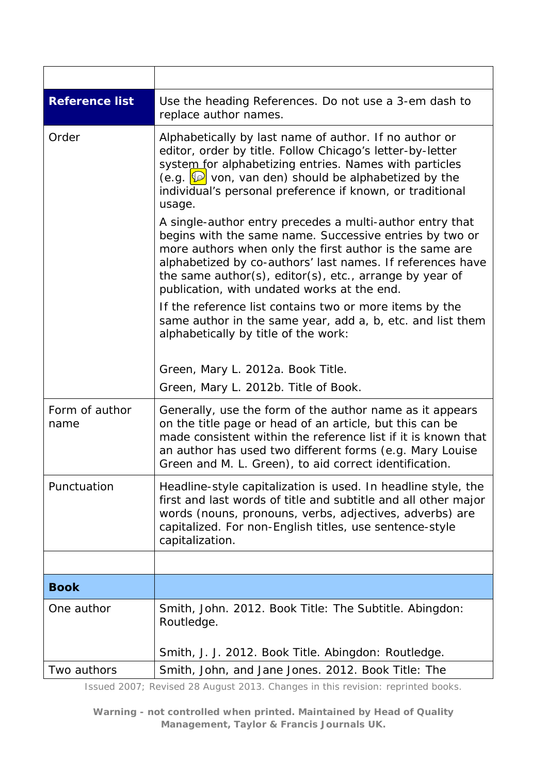<span id="page-4-1"></span><span id="page-4-0"></span>

| <b>Reference list</b>  | Use the heading References. Do not use a 3-em dash to<br>replace author names.                                                                                                                                                                                                                                                                                                                                                                                                                                                                                                                                                                                                                                                                                                                                                                                                        |
|------------------------|---------------------------------------------------------------------------------------------------------------------------------------------------------------------------------------------------------------------------------------------------------------------------------------------------------------------------------------------------------------------------------------------------------------------------------------------------------------------------------------------------------------------------------------------------------------------------------------------------------------------------------------------------------------------------------------------------------------------------------------------------------------------------------------------------------------------------------------------------------------------------------------|
| Order                  | Alphabetically by last name of author. If no author or<br>editor, order by title. Follow Chicago's letter-by-letter<br>system for alphabetizing entries. Names with particles<br>(e.g. $\boxed{2}$ von, van den) should be alphabetized by the<br>individual's personal preference if known, or traditional<br>usage.<br>A single-author entry precedes a multi-author entry that<br>begins with the same name. Successive entries by two or<br>more authors when only the first author is the same are<br>alphabetized by co-authors' last names. If references have<br>the same author(s), editor(s), etc., arrange by year of<br>publication, with undated works at the end.<br>If the reference list contains two or more items by the<br>same author in the same year, add a, b, etc. and list them<br>alphabetically by title of the work:<br>Green, Mary L. 2012a. Book Title. |
|                        | Green, Mary L. 2012b. Title of Book.                                                                                                                                                                                                                                                                                                                                                                                                                                                                                                                                                                                                                                                                                                                                                                                                                                                  |
| Form of author<br>name | Generally, use the form of the author name as it appears<br>on the title page or head of an article, but this can be<br>made consistent within the reference list if it is known that<br>an author has used two different forms (e.g. Mary Louise<br>Green and M. L. Green), to aid correct identification.                                                                                                                                                                                                                                                                                                                                                                                                                                                                                                                                                                           |
| Punctuation            | Headline-style capitalization is used. In headline style, the<br>first and last words of title and subtitle and all other major<br>words (nouns, pronouns, verbs, adjectives, adverbs) are<br>capitalized. For non-English titles, use sentence-style<br>capitalization.                                                                                                                                                                                                                                                                                                                                                                                                                                                                                                                                                                                                              |
|                        |                                                                                                                                                                                                                                                                                                                                                                                                                                                                                                                                                                                                                                                                                                                                                                                                                                                                                       |
| <b>Book</b>            |                                                                                                                                                                                                                                                                                                                                                                                                                                                                                                                                                                                                                                                                                                                                                                                                                                                                                       |
| One author             | Smith, John. 2012. Book Title: The Subtitle. Abingdon:<br>Routledge.                                                                                                                                                                                                                                                                                                                                                                                                                                                                                                                                                                                                                                                                                                                                                                                                                  |
|                        | Smith, J. J. 2012. Book Title. Abingdon: Routledge.                                                                                                                                                                                                                                                                                                                                                                                                                                                                                                                                                                                                                                                                                                                                                                                                                                   |
| Two authors            | Smith, John, and Jane Jones. 2012. Book Title: The                                                                                                                                                                                                                                                                                                                                                                                                                                                                                                                                                                                                                                                                                                                                                                                                                                    |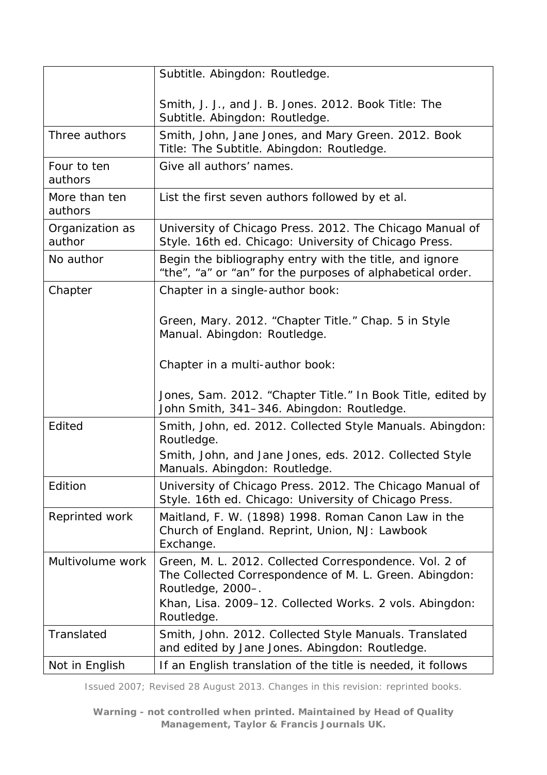|                           | Subtitle. Abingdon: Routledge.                                                                                                                                                                                 |
|---------------------------|----------------------------------------------------------------------------------------------------------------------------------------------------------------------------------------------------------------|
|                           | Smith, J. J., and J. B. Jones. 2012. Book Title: The<br>Subtitle. Abingdon: Routledge.                                                                                                                         |
| Three authors             | Smith, John, Jane Jones, and Mary Green. 2012. Book<br>Title: The Subtitle. Abingdon: Routledge.                                                                                                               |
| Four to ten<br>authors    | Give all authors' names.                                                                                                                                                                                       |
| More than ten<br>authors  | List the first seven authors followed by et al.                                                                                                                                                                |
| Organization as<br>author | University of Chicago Press. 2012. The Chicago Manual of<br>Style. 16th ed. Chicago: University of Chicago Press.                                                                                              |
| No author                 | Begin the bibliography entry with the title, and ignore<br>"the", "a" or "an" for the purposes of alphabetical order.                                                                                          |
| Chapter                   | Chapter in a single-author book:                                                                                                                                                                               |
|                           | Green, Mary. 2012. "Chapter Title." Chap. 5 in Style<br>Manual. Abingdon: Routledge.                                                                                                                           |
|                           | Chapter in a multi-author book:                                                                                                                                                                                |
|                           | Jones, Sam. 2012. "Chapter Title." In Book Title, edited by<br>John Smith, 341-346. Abingdon: Routledge.                                                                                                       |
| Edited                    | Smith, John, ed. 2012. Collected Style Manuals. Abingdon:<br>Routledge.                                                                                                                                        |
|                           | Smith, John, and Jane Jones, eds. 2012. Collected Style<br>Manuals. Abingdon: Routledge.                                                                                                                       |
| Edition                   | University of Chicago Press. 2012. The Chicago Manual of<br>Style. 16th ed. Chicago: University of Chicago Press.                                                                                              |
| Reprinted work            | Maitland, F. W. (1898) 1998. Roman Canon Law in the<br>Church of England. Reprint, Union, NJ: Lawbook<br>Exchange.                                                                                             |
| Multivolume work          | Green, M. L. 2012. Collected Correspondence. Vol. 2 of<br>The Collected Correspondence of M. L. Green. Abingdon:<br>Routledge, 2000-.<br>Khan, Lisa. 2009–12. Collected Works. 2 vols. Abingdon:<br>Routledge. |
| Translated                | Smith, John. 2012. Collected Style Manuals. Translated<br>and edited by Jane Jones. Abingdon: Routledge.                                                                                                       |
| Not in English            | If an English translation of the title is needed, it follows                                                                                                                                                   |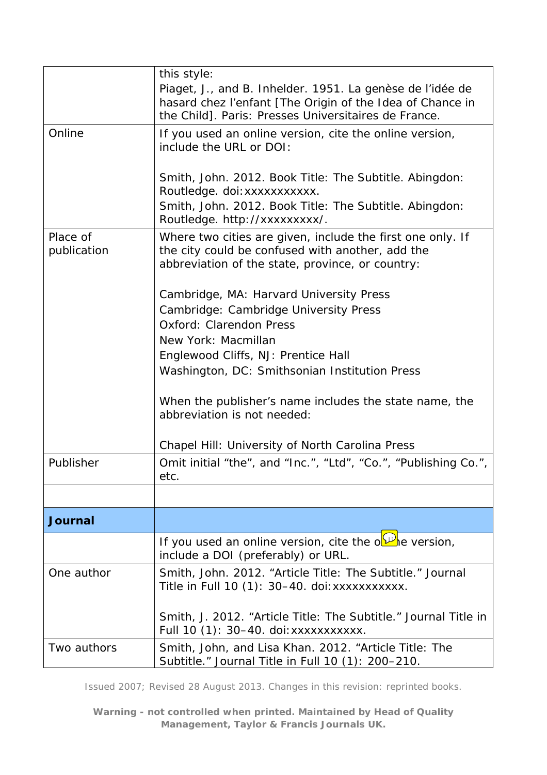<span id="page-6-0"></span>

|                         | this style:                                                                                                                                                                       |
|-------------------------|-----------------------------------------------------------------------------------------------------------------------------------------------------------------------------------|
|                         | Piaget, J., and B. Inhelder. 1951. La genèse de l'idée de<br>hasard chez l'enfant [The Origin of the Idea of Chance in<br>the Child]. Paris: Presses Universitaires de France.    |
| Online                  | If you used an online version, cite the online version,<br>include the URL or DOI:                                                                                                |
|                         | Smith, John. 2012. Book Title: The Subtitle. Abingdon:<br>Routledge. doi: xxxxxxxxxxx.<br>Smith, John. 2012. Book Title: The Subtitle. Abingdon:<br>Routledge. http://xxxxxxxxx/. |
| Place of<br>publication | Where two cities are given, include the first one only. If<br>the city could be confused with another, add the<br>abbreviation of the state, province, or country:                |
|                         | Cambridge, MA: Harvard University Press<br>Cambridge: Cambridge University Press<br><b>Oxford: Clarendon Press</b>                                                                |
|                         | New York: Macmillan                                                                                                                                                               |
|                         | Englewood Cliffs, NJ: Prentice Hall                                                                                                                                               |
|                         | Washington, DC: Smithsonian Institution Press                                                                                                                                     |
|                         | When the publisher's name includes the state name, the<br>abbreviation is not needed:                                                                                             |
|                         | Chapel Hill: University of North Carolina Press                                                                                                                                   |
| Publisher               | Omit initial "the", and "Inc.", "Ltd", "Co.", "Publishing Co.",<br>etc.                                                                                                           |
|                         |                                                                                                                                                                                   |
| <b>Journal</b>          |                                                                                                                                                                                   |
|                         | If you used an online version, cite the ollet version,<br>include a DOI (preferably) or URL.                                                                                      |
| One author              | Smith, John. 2012. "Article Title: The Subtitle." Journal<br>Title in Full 10 (1): 30-40. doi: xxxxxxxxxxx.                                                                       |
|                         | Smith, J. 2012. "Article Title: The Subtitle." Journal Title in<br>Full 10 (1): 30–40. doi: xxxxxxxxxxx.                                                                          |
| Two authors             | Smith, John, and Lisa Khan. 2012. "Article Title: The<br>Subtitle." Journal Title in Full 10 (1): 200-210.                                                                        |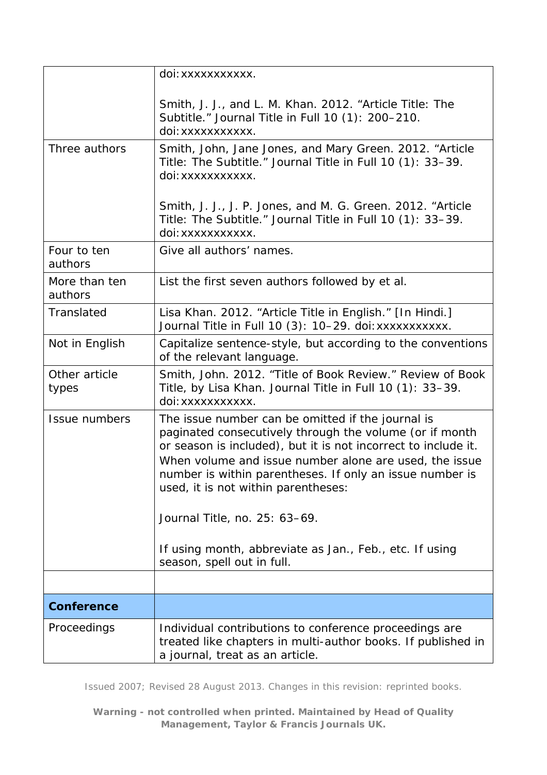<span id="page-7-0"></span>

|                          | doi: xxxxxxxxxx.                                                                                                                                                                                                                                                                                                                            |
|--------------------------|---------------------------------------------------------------------------------------------------------------------------------------------------------------------------------------------------------------------------------------------------------------------------------------------------------------------------------------------|
|                          | Smith, J. J., and L. M. Khan. 2012. "Article Title: The<br>Subtitle." Journal Title in Full 10 (1): 200-210.<br>doi:xxxxxxxxxx.                                                                                                                                                                                                             |
| Three authors            | Smith, John, Jane Jones, and Mary Green. 2012. "Article<br>Title: The Subtitle." Journal Title in Full 10 (1): 33-39.<br>doi: xxxxxxxxxx.                                                                                                                                                                                                   |
|                          | Smith, J. J., J. P. Jones, and M. G. Green. 2012. "Article<br>Title: The Subtitle." Journal Title in Full 10 (1): 33-39.<br>doi: xxxxxxxxxx.                                                                                                                                                                                                |
| Four to ten<br>authors   | Give all authors' names.                                                                                                                                                                                                                                                                                                                    |
| More than ten<br>authors | List the first seven authors followed by et al.                                                                                                                                                                                                                                                                                             |
| Translated               | Lisa Khan. 2012. "Article Title in English." [In Hindi.]<br>Journal Title in Full 10 (3): 10-29. doi: xxxxxxxxxxx.                                                                                                                                                                                                                          |
| Not in English           | Capitalize sentence-style, but according to the conventions<br>of the relevant language.                                                                                                                                                                                                                                                    |
| Other article<br>types   | Smith, John. 2012. "Title of Book Review." Review of Book<br>Title, by Lisa Khan. Journal Title in Full 10 (1): 33-39.<br>doi:xxxxxxxxxx.                                                                                                                                                                                                   |
| Issue numbers            | The issue number can be omitted if the journal is<br>paginated consecutively through the volume (or if month<br>or season is included), but it is not incorrect to include it.<br>When volume and issue number alone are used, the issue<br>number is within parentheses. If only an issue number is<br>used, it is not within parentheses: |
|                          | Journal Title, no. 25: 63-69.                                                                                                                                                                                                                                                                                                               |
|                          | If using month, abbreviate as Jan., Feb., etc. If using<br>season, spell out in full.                                                                                                                                                                                                                                                       |
|                          |                                                                                                                                                                                                                                                                                                                                             |
| <b>Conference</b>        |                                                                                                                                                                                                                                                                                                                                             |
| Proceedings              | Individual contributions to conference proceedings are<br>treated like chapters in multi-author books. If published in<br>a journal, treat as an article.                                                                                                                                                                                   |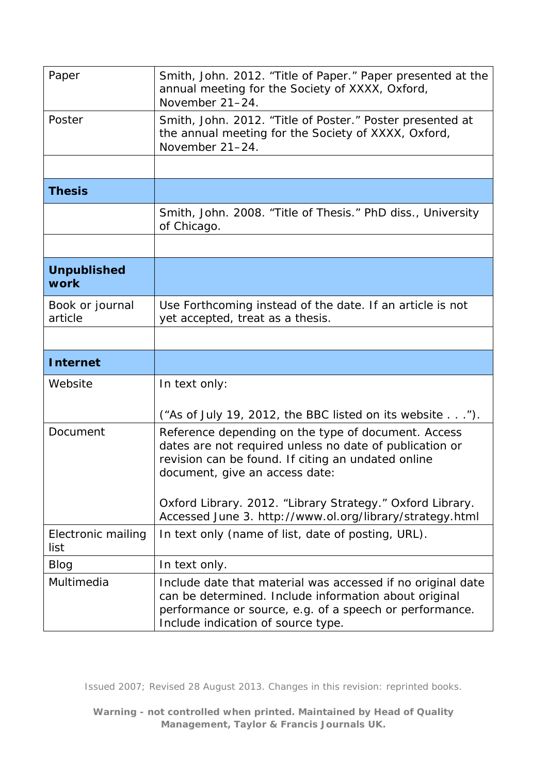<span id="page-8-2"></span><span id="page-8-1"></span><span id="page-8-0"></span>

| Paper                      | Smith, John. 2012. "Title of Paper." Paper presented at the<br>annual meeting for the Society of XXXX, Oxford,<br>November 21-24.                                                                      |
|----------------------------|--------------------------------------------------------------------------------------------------------------------------------------------------------------------------------------------------------|
| Poster                     | Smith, John. 2012. "Title of Poster." Poster presented at<br>the annual meeting for the Society of XXXX, Oxford,<br>November 21-24.                                                                    |
|                            |                                                                                                                                                                                                        |
| <b>Thesis</b>              |                                                                                                                                                                                                        |
|                            | Smith, John. 2008. "Title of Thesis." PhD diss., University<br>of Chicago.                                                                                                                             |
|                            |                                                                                                                                                                                                        |
| <b>Unpublished</b><br>work |                                                                                                                                                                                                        |
| Book or journal<br>article | Use Forthcoming instead of the date. If an article is not<br>yet accepted, treat as a thesis.                                                                                                          |
|                            |                                                                                                                                                                                                        |
|                            |                                                                                                                                                                                                        |
| <b>Internet</b>            |                                                                                                                                                                                                        |
| Website                    | In text only:                                                                                                                                                                                          |
|                            | ("As of July 19, 2012, the BBC listed on its website").                                                                                                                                                |
| Document                   | Reference depending on the type of document. Access<br>dates are not required unless no date of publication or<br>revision can be found. If citing an undated online<br>document, give an access date: |
|                            | Oxford Library. 2012. "Library Strategy." Oxford Library.<br>Accessed June 3. http://www.ol.org/library/strategy.html                                                                                  |
| Electronic mailing<br>list | In text only (name of list, date of posting, URL).                                                                                                                                                     |
| Blog<br>Multimedia         | In text only.                                                                                                                                                                                          |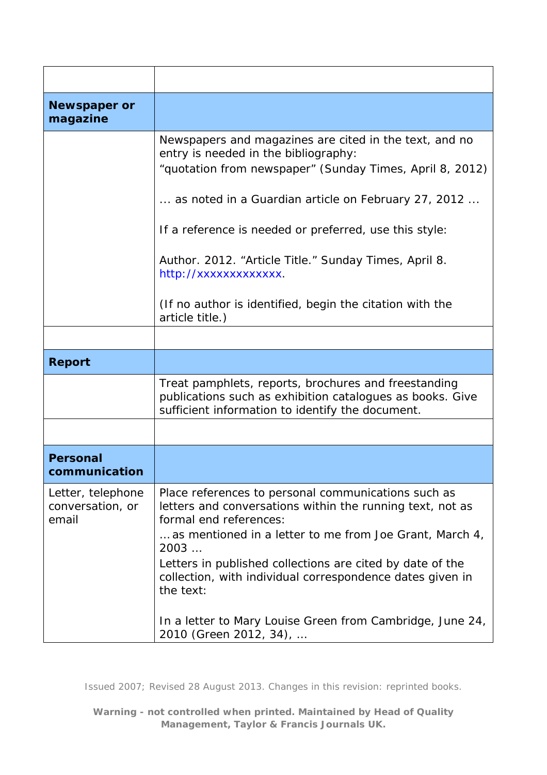<span id="page-9-2"></span><span id="page-9-1"></span><span id="page-9-0"></span>

| <b>Newspaper or</b><br>magazine                |                                                                                                                                                                                                                                                                                                                                                                                                                                                    |
|------------------------------------------------|----------------------------------------------------------------------------------------------------------------------------------------------------------------------------------------------------------------------------------------------------------------------------------------------------------------------------------------------------------------------------------------------------------------------------------------------------|
|                                                | Newspapers and magazines are cited in the text, and no<br>entry is needed in the bibliography:<br>"quotation from newspaper" (Sunday Times, April 8, 2012)<br>as noted in a <i>Guardian</i> article on February 27, 2012<br>If a reference is needed or preferred, use this style:<br>Author. 2012. "Article Title." Sunday Times, April 8.<br>http://xxxxxxxxxxxx.<br>(If no author is identified, begin the citation with the<br>article title.) |
|                                                |                                                                                                                                                                                                                                                                                                                                                                                                                                                    |
| <b>Report</b>                                  |                                                                                                                                                                                                                                                                                                                                                                                                                                                    |
|                                                | Treat pamphlets, reports, brochures and freestanding<br>publications such as exhibition catalogues as books. Give<br>sufficient information to identify the document.                                                                                                                                                                                                                                                                              |
|                                                |                                                                                                                                                                                                                                                                                                                                                                                                                                                    |
| <b>Personal</b><br>communication               |                                                                                                                                                                                                                                                                                                                                                                                                                                                    |
| Letter, telephone<br>conversation, or<br>email | Place references to personal communications such as<br>letters and conversations within the running text, not as<br>formal end references:<br>as mentioned in a letter to me from Joe Grant, March 4,<br>2003<br>Letters in published collections are cited by date of the<br>collection, with individual correspondence dates given in<br>the text:<br>In a letter to Mary Louise Green from Cambridge, June 24,<br>2010 (Green 2012, 34),        |